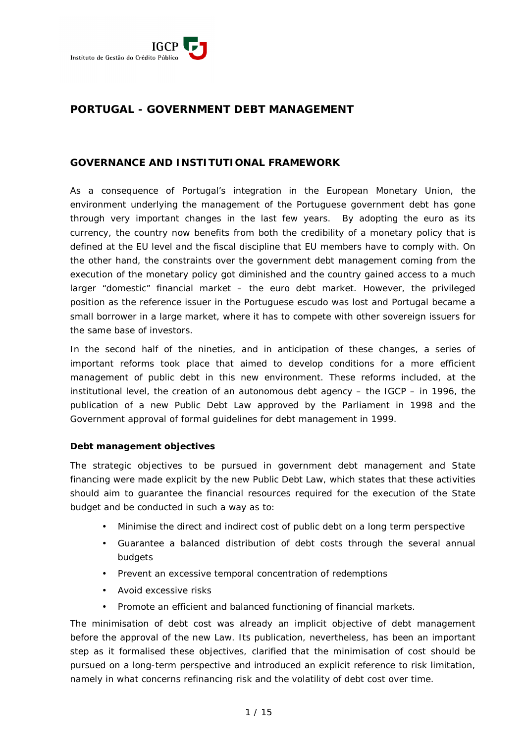

# **PORTUGAL - GOVERNMENT DEBT MANAGEMENT**

## **GOVERNANCE AND INSTITUTIONAL FRAMEWORK**

As a consequence of Portugal's integration in the European Monetary Union, the environment underlying the management of the Portuguese government debt has gone through very important changes in the last few years. By adopting the euro as its currency, the country now benefits from both the credibility of a monetary policy that is defined at the EU level and the fiscal discipline that EU members have to comply with. On the other hand, the constraints over the government debt management coming from the execution of the monetary policy got diminished and the country gained access to a much larger "domestic" financial market – the euro debt market. However, the privileged position as the reference issuer in the Portuguese escudo was lost and Portugal became a small borrower in a large market, where it has to compete with other sovereign issuers for the same base of investors.

In the second half of the nineties, and in anticipation of these changes, a series of important reforms took place that aimed to develop conditions for a more efficient management of public debt in this new environment. These reforms included, at the institutional level, the creation of an autonomous debt agency – the IGCP – in 1996, the publication of a new Public Debt Law approved by the Parliament in 1998 and the Government approval of formal guidelines for debt management in 1999.

#### *Debt management objectives*

The strategic objectives to be pursued in government debt management and State financing were made explicit by the new Public Debt Law, which states that these activities should aim to guarantee the financial resources required for the execution of the State budget and be conducted in such a way as to:

- Minimise the direct and indirect cost of public debt on a long term perspective
- Guarantee a balanced distribution of debt costs through the several annual budgets
- Prevent an excessive temporal concentration of redemptions
- Avoid excessive risks
- Promote an efficient and balanced functioning of financial markets.

The minimisation of debt cost was already an implicit objective of debt management before the approval of the new Law. Its publication, nevertheless, has been an important step as it formalised these objectives, clarified that the minimisation of cost should be pursued on a long-term perspective and introduced an explicit reference to risk limitation, namely in what concerns refinancing risk and the volatility of debt cost over time.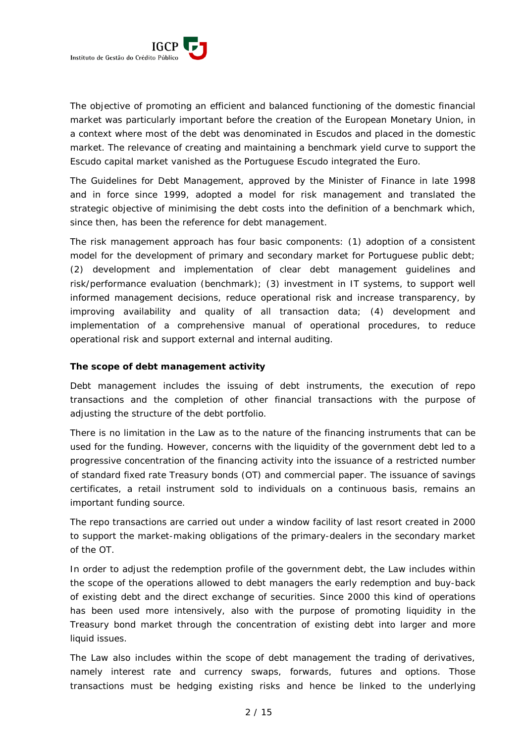

The objective of promoting an efficient and balanced functioning of the domestic financial market was particularly important before the creation of the European Monetary Union, in a context where most of the debt was denominated in Escudos and placed in the domestic market. The relevance of creating and maintaining a benchmark yield curve to support the Escudo capital market vanished as the Portuguese Escudo integrated the Euro.

The Guidelines for Debt Management, approved by the Minister of Finance in late 1998 and in force since 1999, adopted a model for risk management and translated the strategic objective of minimising the debt costs into the definition of a benchmark which, since then, has been the reference for debt management.

The risk management approach has four basic components: (1) adoption of a consistent model for the development of primary and secondary market for Portuguese public debt; (2) development and implementation of clear debt management guidelines and risk/performance evaluation (benchmark); (3) investment in IT systems, to support well informed management decisions, reduce operational risk and increase transparency, by improving availability and quality of all transaction data; (4) development and implementation of a comprehensive manual of operational procedures, to reduce operational risk and support external and internal auditing.

#### *The scope of debt management activity*

Debt management includes the issuing of debt instruments, the execution of repo transactions and the completion of other financial transactions with the purpose of adjusting the structure of the debt portfolio.

There is no limitation in the Law as to the nature of the financing instruments that can be used for the funding. However, concerns with the liquidity of the government debt led to a progressive concentration of the financing activity into the issuance of a restricted number of standard fixed rate Treasury bonds (OT) and commercial paper. The issuance of savings certificates, a retail instrument sold to individuals on a continuous basis, remains an important funding source.

The repo transactions are carried out under a window facility of last resort created in 2000 to support the market-making obligations of the primary-dealers in the secondary market of the OT.

In order to adjust the redemption profile of the government debt, the Law includes within the scope of the operations allowed to debt managers the early redemption and buy-back of existing debt and the direct exchange of securities. Since 2000 this kind of operations has been used more intensively, also with the purpose of promoting liquidity in the Treasury bond market through the concentration of existing debt into larger and more liquid issues.

The Law also includes within the scope of debt management the trading of derivatives, namely interest rate and currency swaps, forwards, futures and options. Those transactions must be hedging existing risks and hence be linked to the underlying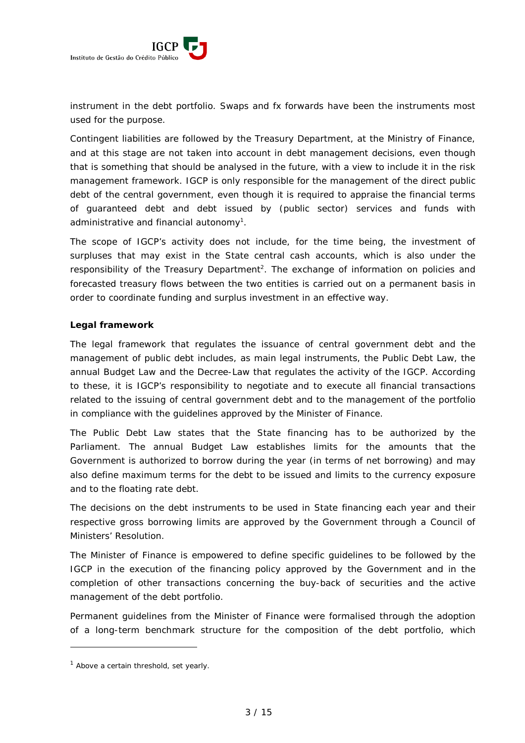

instrument in the debt portfolio. Swaps and fx forwards have been the instruments most used for the purpose.

Contingent liabilities are followed by the Treasury Department, at the Ministry of Finance, and at this stage are not taken into account in debt management decisions, even though that is something that should be analysed in the future, with a view to include it in the risk management framework. IGCP is only responsible for the management of the direct public debt of the central government, even though it is required to appraise the financial terms of guaranteed debt and debt issued by (public sector) services and funds with administrative and financial autonomy<sup>1</sup>.

The scope of IGCP's activity does not include, for the time being, the investment of surpluses that may exist in the State central cash accounts, which is also under the responsibility of the Treasury Department<sup>2</sup>. The exchange of information on policies and forecasted treasury flows between the two entities is carried out on a permanent basis in order to coordinate funding and surplus investment in an effective way.

## *Legal framework*

The legal framework that regulates the issuance of central government debt and the management of public debt includes, as main legal instruments, the Public Debt Law, the annual Budget Law and the Decree-Law that regulates the activity of the IGCP. According to these, it is IGCP's responsibility to negotiate and to execute all financial transactions related to the issuing of central government debt and to the management of the portfolio in compliance with the guidelines approved by the Minister of Finance.

The Public Debt Law states that the State financing has to be authorized by the Parliament. The annual Budget Law establishes limits for the amounts that the Government is authorized to borrow during the year (in terms of net borrowing) and may also define maximum terms for the debt to be issued and limits to the currency exposure and to the floating rate debt.

The decisions on the debt instruments to be used in State financing each year and their respective gross borrowing limits are approved by the Government through a Council of Ministers' Resolution.

The Minister of Finance is empowered to define specific guidelines to be followed by the IGCP in the execution of the financing policy approved by the Government and in the completion of other transactions concerning the buy-back of securities and the active management of the debt portfolio.

Permanent guidelines from the Minister of Finance were formalised through the adoption of a long-term benchmark structure for the composition of the debt portfolio, which

<sup>&</sup>lt;sup>1</sup> Above a certain threshold, set yearly.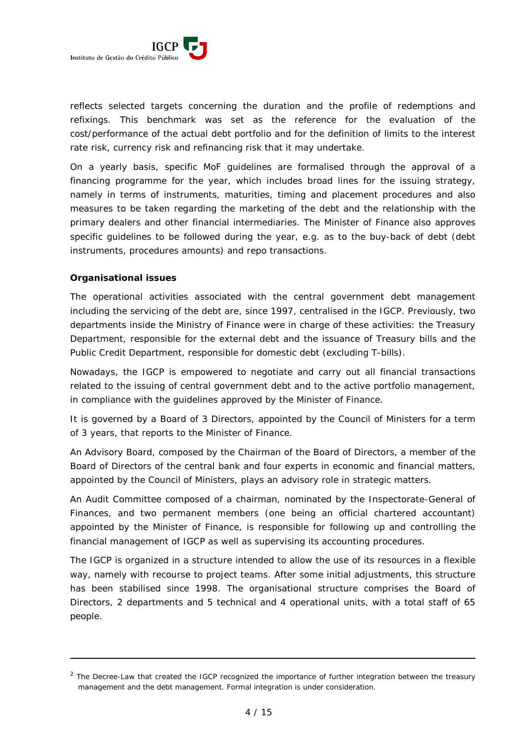

reflects selected targets concerning the duration and the profile of redemptions and refixings. This benchmark was set as the reference for the evaluation of the cost/performance of the actual debt portfolio and for the definition of limits to the interest rate risk, currency risk and refinancing risk that it may undertake.

On a yearly basis, specific MoF guidelines are formalised through the approval of a financing programme for the year, which includes broad lines for the issuing strategy, namely in terms of instruments, maturities, timing and placement procedures and also measures to be taken regarding the marketing of the debt and the relationship with the primary dealers and other financial intermediaries. The Minister of Finance also approves specific guidelines to be followed during the year, e.g. as to the buy-back of debt (debt instruments, procedures amounts) and repo transactions.

#### *Organisational issues*

-

The operational activities associated with the central government debt management including the servicing of the debt are, since 1997, centralised in the IGCP. Previously, two departments inside the Ministry of Finance were in charge of these activities: the Treasury Department, responsible for the external debt and the issuance of Treasury bills and the Public Credit Department, responsible for domestic debt (excluding T-bills).

Nowadays, the IGCP is empowered to negotiate and carry out all financial transactions related to the issuing of central government debt and to the active portfolio management, in compliance with the guidelines approved by the Minister of Finance.

It is governed by a Board of 3 Directors, appointed by the Council of Ministers for a term of 3 years, that reports to the Minister of Finance.

An Advisory Board, composed by the Chairman of the Board of Directors, a member of the Board of Directors of the central bank and four experts in economic and financial matters, appointed by the Council of Ministers, plays an advisory role in strategic matters.

An Audit Committee composed of a chairman, nominated by the Inspectorate-General of Finances, and two permanent members (one being an official chartered accountant) appointed by the Minister of Finance, is responsible for following up and controlling the financial management of IGCP as well as supervising its accounting procedures.

The IGCP is organized in a structure intended to allow the use of its resources in a flexible way, namely with recourse to project teams. After some initial adjustments, this structure has been stabilised since 1998. The organisational structure comprises the Board of Directors, 2 departments and 5 technical and 4 operational units, with a total staff of 65 people.

<sup>&</sup>lt;sup>2</sup> The Decree-Law that created the IGCP recognized the importance of further integration between the treasury management and the debt management. Formal integration is under consideration.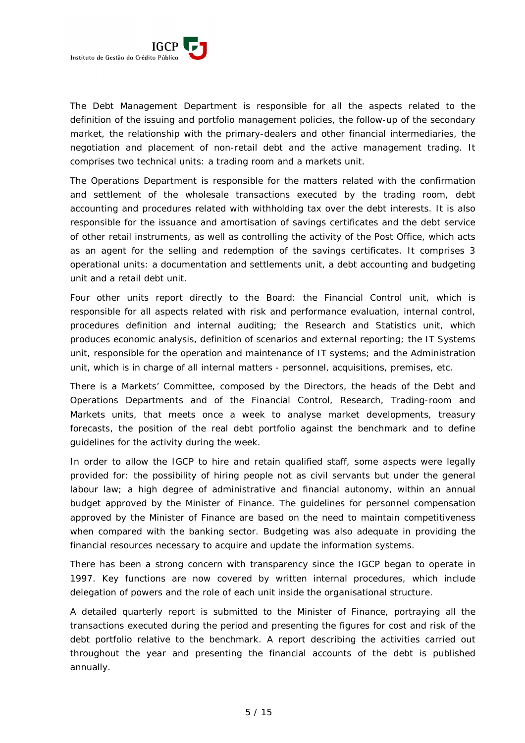

The Debt Management Department is responsible for all the aspects related to the definition of the issuing and portfolio management policies, the follow-up of the secondary market, the relationship with the primary-dealers and other financial intermediaries, the negotiation and placement of non-retail debt and the active management trading. It comprises two technical units: a trading room and a markets unit.

The Operations Department is responsible for the matters related with the confirmation and settlement of the wholesale transactions executed by the trading room, debt accounting and procedures related with withholding tax over the debt interests. It is also responsible for the issuance and amortisation of savings certificates and the debt service of other retail instruments, as well as controlling the activity of the Post Office, which acts as an agent for the selling and redemption of the savings certificates. It comprises 3 operational units: a documentation and settlements unit, a debt accounting and budgeting unit and a retail debt unit.

Four other units report directly to the Board: the Financial Control unit, which is responsible for all aspects related with risk and performance evaluation, internal control, procedures definition and internal auditing; the Research and Statistics unit, which produces economic analysis, definition of scenarios and external reporting; the IT Systems unit, responsible for the operation and maintenance of IT systems; and the Administration unit, which is in charge of all internal matters - personnel, acquisitions, premises, etc.

There is a Markets' Committee, composed by the Directors, the heads of the Debt and Operations Departments and of the Financial Control, Research, Trading-room and Markets units, that meets once a week to analyse market developments, treasury forecasts, the position of the real debt portfolio against the benchmark and to define guidelines for the activity during the week.

In order to allow the IGCP to hire and retain qualified staff, some aspects were legally provided for: the possibility of hiring people not as civil servants but under the general labour law; a high degree of administrative and financial autonomy, within an annual budget approved by the Minister of Finance. The guidelines for personnel compensation approved by the Minister of Finance are based on the need to maintain competitiveness when compared with the banking sector. Budgeting was also adequate in providing the financial resources necessary to acquire and update the information systems.

There has been a strong concern with transparency since the IGCP began to operate in 1997. Key functions are now covered by written internal procedures, which include delegation of powers and the role of each unit inside the organisational structure.

A detailed quarterly report is submitted to the Minister of Finance, portraying all the transactions executed during the period and presenting the figures for cost and risk of the debt portfolio relative to the benchmark. A report describing the activities carried out throughout the year and presenting the financial accounts of the debt is published annually.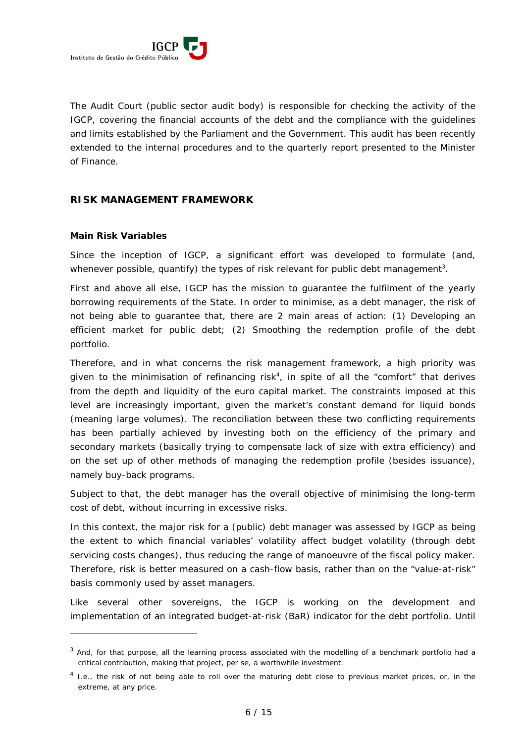

The Audit Court (public sector audit body) is responsible for checking the activity of the IGCP, covering the financial accounts of the debt and the compliance with the guidelines and limits established by the Parliament and the Government. This audit has been recently extended to the internal procedures and to the quarterly report presented to the Minister of Finance.

## **RISK MANAGEMENT FRAMEWORK**

## *Main Risk Variables*

-

Since the inception of IGCP, a significant effort was developed to formulate (and, whenever possible, quantify) the types of risk relevant for public debt management<sup>3</sup>.

First and above all else, IGCP has the mission to guarantee the fulfilment of the yearly borrowing requirements of the State. In order to minimise, as a debt manager, the risk of not being able to guarantee that, there are 2 main areas of action: (1) Developing an efficient market for public debt; (2) Smoothing the redemption profile of the debt portfolio.

Therefore, and in what concerns the risk management framework, a high priority was given to the minimisation of refinancing risk4 , in spite of all the "comfort" that derives from the depth and liquidity of the euro capital market. The constraints imposed at this level are increasingly important, given the market's constant demand for liquid bonds (meaning large volumes). The reconciliation between these two conflicting requirements has been partially achieved by investing both on the efficiency of the primary and secondary markets (basically trying to compensate lack of size with extra efficiency) and on the set up of other methods of managing the redemption profile (besides issuance), namely buy-back programs.

Subject to that, the debt manager has the overall objective of minimising the long-term cost of debt, without incurring in *excessive* risks.

In this context, the major risk for a (public) debt manager was assessed by IGCP as being the extent to which financial variables' volatility affect budget volatility (through debt servicing costs changes), thus reducing the range of manoeuvre of the fiscal policy maker. Therefore, risk is better measured on a cash-flow basis, rather than on the "value-at-risk" basis commonly used by asset managers.

Like several other sovereigns, the IGCP is working on the development and implementation of an integrated budget-at-risk (BaR) indicator for the debt portfolio. Until

 $3$  And, for that purpose, all the learning process associated with the modelling of a benchmark portfolio had a critical contribution, making that project, *per se*, a worthwhile investment.

<sup>&</sup>lt;sup>4</sup> I.e., the risk of not being able to roll over the maturing debt close to previous market prices, or, in the extreme, at any price.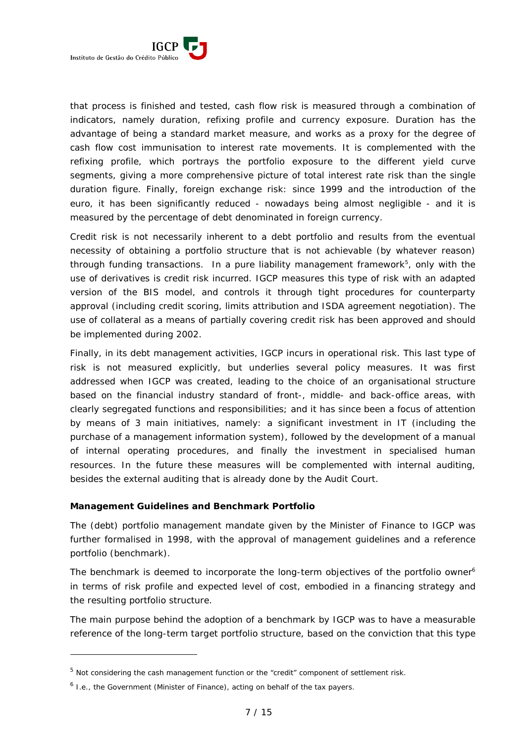

that process is finished and tested, cash flow risk is measured through a combination of indicators, namely duration, refixing profile and currency exposure. Duration has the advantage of being a standard market measure, and works as a proxy for the degree of cash flow cost immunisation to interest rate movements. It is complemented with the refixing profile, which portrays the portfolio exposure to the different yield curve segments, giving a more comprehensive picture of total interest rate risk than the single duration figure. Finally, foreign exchange risk: since 1999 and the introduction of the euro, it has been significantly reduced - nowadays being almost negligible - and it is measured by the percentage of debt denominated in foreign currency.

Credit risk is not necessarily inherent to a debt portfolio and results from the eventual necessity of obtaining a portfolio structure that is not achievable (by whatever reason) through funding transactions. In a pure liability management framework<sup>5</sup>, only with the use of derivatives is credit risk incurred. IGCP measures this type of risk with an adapted version of the BIS model, and controls it through tight procedures for counterparty approval (including credit scoring, limits attribution and ISDA agreement negotiation). The use of collateral as a means of partially covering credit risk has been approved and should be implemented during 2002.

Finally, in its debt management activities, IGCP incurs in operational risk. This last type of risk is not measured explicitly, but underlies several policy measures. It was first addressed when IGCP was created, leading to the choice of an organisational structure based on the financial industry standard of front-, middle- and back-office areas, with clearly segregated functions and responsibilities; and it has since been a focus of attention by means of 3 main initiatives, namely: a significant investment in IT (including the purchase of a management information system), followed by the development of a manual of internal operating procedures, and finally the investment in specialised human resources. In the future these measures will be complemented with internal auditing, besides the external auditing that is already done by the Audit Court.

## *Management Guidelines and Benchmark Portfolio*

The (debt) portfolio management mandate given by the Minister of Finance to IGCP was further formalised in 1998, with the approval of management guidelines and a reference portfolio (benchmark).

The benchmark is deemed to incorporate the long-term objectives of the portfolio owner<sup>6</sup> in terms of risk profile and expected level of cost, embodied in a financing strategy and the resulting portfolio structure.

The main purpose behind the adoption of a benchmark by IGCP was to have a measurable reference of the long-term target portfolio structure, based on the conviction that this type

<sup>&</sup>lt;sup>5</sup> Not considering the cash management function or the "credit" component of settlement risk.

 $<sup>6</sup>$  I.e., the Government (Minister of Finance), acting on behalf of the tax payers.</sup>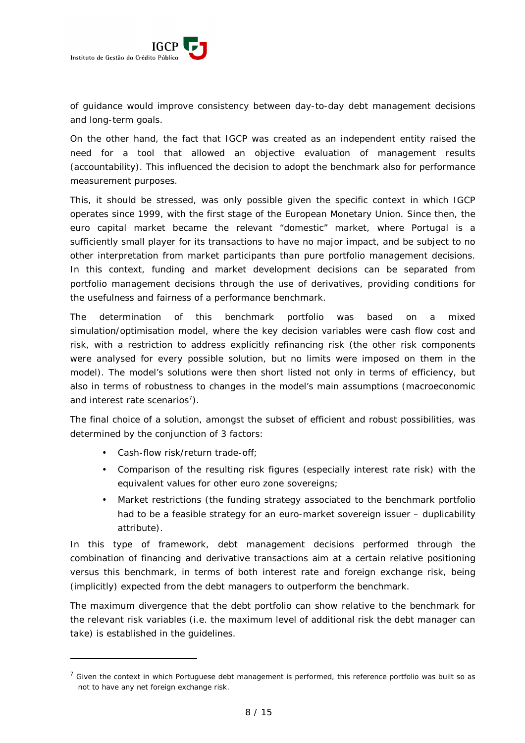

of guidance would improve consistency between day-to-day debt management decisions and long-term goals.

On the other hand, the fact that IGCP was created as an independent entity raised the need for a tool that allowed an objective evaluation of management results (accountability). This influenced the decision to adopt the benchmark also for performance measurement purposes.

This, it should be stressed, was only possible given the specific context in which IGCP operates since 1999, with the first stage of the European Monetary Union. Since then, the euro capital market became the relevant "domestic" market, where Portugal is a sufficiently small player for its transactions to have no major impact, and be subject to no other interpretation from market participants than pure portfolio management decisions. In this context, funding and market development decisions can be separated from portfolio management decisions through the use of derivatives, providing conditions for the usefulness and fairness of a performance benchmark.

The determination of this benchmark portfolio was based on a mixed simulation/optimisation model, where the key decision variables were cash flow cost and risk, with a restriction to address explicitly refinancing risk (the other risk components were analysed for every possible solution, but no limits were imposed on them in the model). The model's solutions were then short listed not only in terms of efficiency, but also in terms of robustness to changes in the model's main assumptions (macroeconomic and interest rate scenarios<sup>7</sup>).

The final choice of a solution, amongst the subset of efficient and robust possibilities, was determined by the conjunction of 3 factors:

• Cash-flow risk/return trade-off;

-

- Comparison of the resulting risk figures (especially interest rate risk) with the equivalent values for other euro zone sovereigns;
- Market restrictions (the funding strategy associated to the benchmark portfolio had to be a feasible strategy for an euro-market sovereign issuer – duplicability attribute).

In this type of framework, debt management decisions performed through the combination of financing and derivative transactions aim at a certain relative positioning versus this benchmark, in terms of both interest rate and foreign exchange risk, being (implicitly) expected from the debt managers to outperform the benchmark.

The maximum divergence that the debt portfolio can show relative to the benchmark for the relevant risk variables (i.e. the maximum level of additional risk the debt manager can take) is established in the guidelines.

 $^7$  Given the context in which Portuguese debt management is performed, this reference portfolio was built so as not to have any net foreign exchange risk.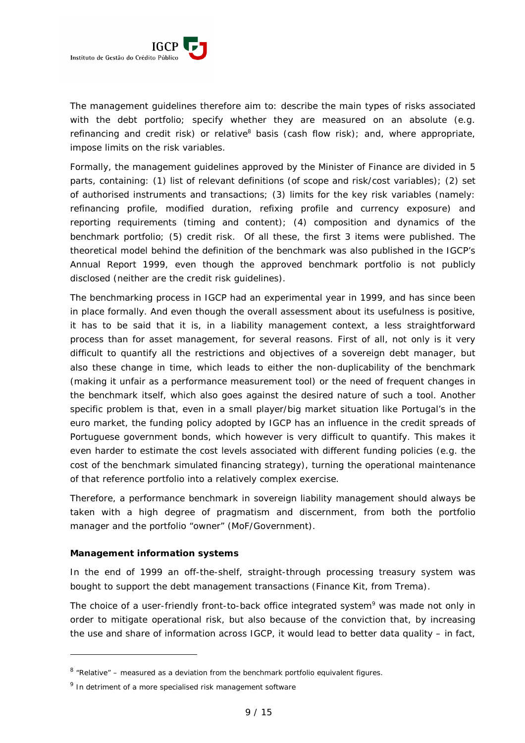

The management guidelines therefore aim to: describe the main types of risks associated with the debt portfolio; specify whether they are measured on an absolute (e.g. refinancing and credit risk) or relative<sup>8</sup> basis (cash flow risk); and, where appropriate, impose limits on the risk variables.

Formally, the management guidelines approved by the Minister of Finance are divided in 5 parts, containing: (1) list of relevant definitions (of scope and risk/cost variables); (2) set of authorised instruments and transactions; (3) limits for the key risk variables (namely: refinancing profile, modified duration, refixing profile and currency exposure) and reporting requirements (timing and content); (4) composition and dynamics of the benchmark portfolio; (5) credit risk. Of all these, the first 3 items were published. The theoretical model behind the definition of the benchmark was also published in the IGCP's Annual Report 1999, even though the approved benchmark portfolio is not publicly disclosed (neither are the credit risk guidelines).

The benchmarking process in IGCP had an experimental year in 1999, and has since been in place formally. And even though the overall assessment about its usefulness is positive, it has to be said that it is, in a liability management context, a less straightforward process than for asset management, for several reasons. First of all, not only is it very difficult to quantify all the restrictions and objectives of a sovereign debt manager, but also these change in time, which leads to either the non-duplicability of the benchmark (making it unfair as a performance measurement tool) or the need of frequent changes in the benchmark itself, which also goes against the desired nature of such a tool. Another specific problem is that, even in a small player/big market situation like Portugal's in the euro market, the funding policy adopted by IGCP has an influence in the credit spreads of Portuguese government bonds, which however is very difficult to quantify. This makes it even harder to estimate the cost levels associated with different funding policies (e.g. the cost of the benchmark simulated financing strategy), turning the operational maintenance of that reference portfolio into a relatively complex exercise.

Therefore, a performance benchmark in sovereign liability management should always be taken with a high degree of pragmatism and discernment, from both the portfolio manager and the portfolio "owner" (MoF/Government).

#### *Management information systems*

-

In the end of 1999 an off-the-shelf, straight-through processing treasury system was bought to support the debt management transactions (Finance Kit, from Trema).

The choice of a user-friendly front-to-back office integrated system<sup>9</sup> was made not only in order to mitigate operational risk, but also because of the conviction that, by increasing the use and share of information across IGCP, it would lead to better data quality – in fact,

 $8$  "Relative" – measured as a deviation from the benchmark portfolio equivalent figures.

<sup>&</sup>lt;sup>9</sup> In detriment of a more specialised risk management software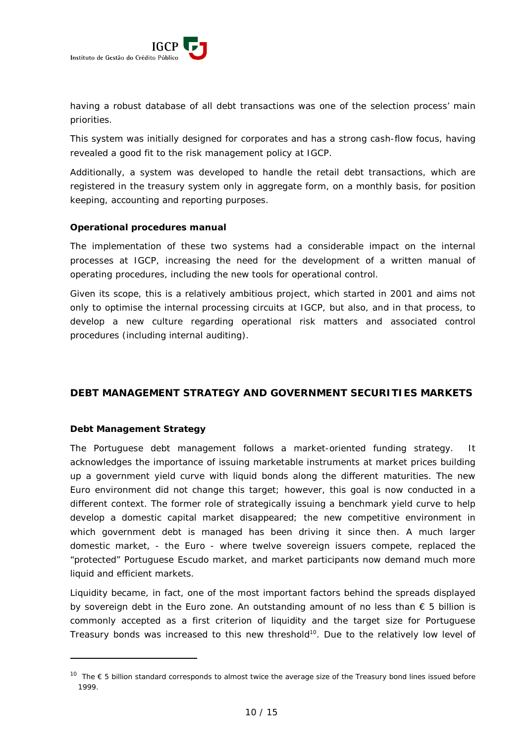having a robust database of all debt transactions was one of the selection process' main priorities.

This system was initially designed for corporates and has a strong cash-flow focus, having revealed a good fit to the risk management policy at IGCP.

Additionally, a system was developed to handle the retail debt transactions, which are registered in the treasury system only in aggregate form, on a monthly basis, for position keeping, accounting and reporting purposes.

## *Operational procedures manual*

The implementation of these two systems had a considerable impact on the internal processes at IGCP, increasing the need for the development of a written manual of operating procedures, including the new tools for operational control.

Given its scope, this is a relatively ambitious project, which started in 2001 and aims not only to optimise the internal processing circuits at IGCP, but also, and in that process, to develop a new culture regarding operational risk matters and associated control procedures (including internal auditing).

## **DEBT MANAGEMENT STRATEGY AND GOVERNMENT SECURITIES MARKETS**

## *Debt Management Strategy*

-

The Portuguese debt management follows a market-oriented funding strategy. It acknowledges the importance of issuing marketable instruments at market prices building up a government yield curve with liquid bonds along the different maturities. The new Euro environment did not change this target; however, this goal is now conducted in a different context. The former role of strategically issuing a benchmark yield curve to help develop a domestic capital market disappeared; the new competitive environment in which government debt is managed has been driving it since then. A much larger domestic market, - the Euro - where twelve sovereign issuers compete, replaced the "protected" Portuguese Escudo market, and market participants now demand much more liquid and efficient markets.

Liquidity became, in fact, one of the most important factors behind the spreads displayed by sovereign debt in the Euro zone. An outstanding amount of no less than  $\epsilon$  5 billion is commonly accepted as a first criterion of liquidity and the target size for Portuguese Treasury bonds was increased to this new threshold<sup>10</sup>. Due to the relatively low level of

<sup>&</sup>lt;sup>10</sup> The € 5 billion standard corresponds to almost twice the average size of the Treasury bond lines issued before 1999.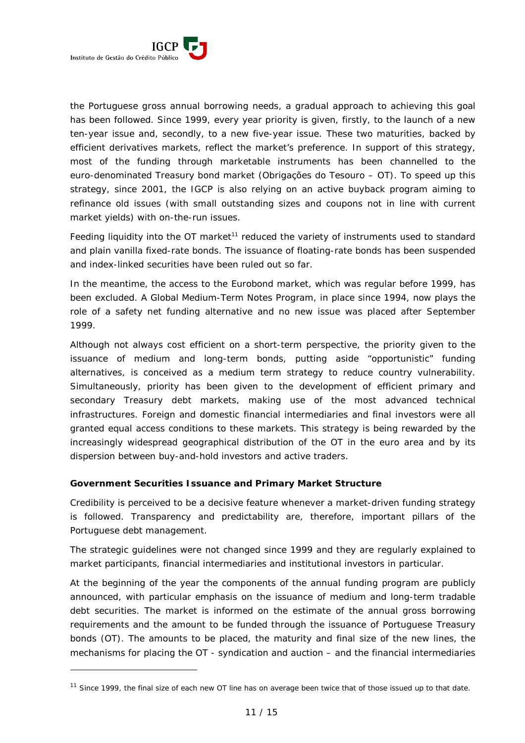

-

the Portuguese gross annual borrowing needs, a gradual approach to achieving this goal has been followed. Since 1999, every year priority is given, firstly, to the launch of a new ten-year issue and, secondly, to a new five-year issue. These two maturities, backed by efficient derivatives markets, reflect the market's preference. In support of this strategy, most of the funding through marketable instruments has been channelled to the euro-denominated Treasury bond market (*Obrigações do Tesouro* – OT). To speed up this strategy, since 2001, the IGCP is also relying on an active buyback program aiming to refinance old issues (with small outstanding sizes and coupons not in line with current market yields) with on-the-run issues.

Feeding liquidity into the OT market<sup>11</sup> reduced the variety of instruments used to standard and plain vanilla fixed-rate bonds. The issuance of floating-rate bonds has been suspended and index-linked securities have been ruled out so far.

In the meantime, the access to the Eurobond market, which was regular before 1999, has been excluded. A Global Medium-Term Notes Program, in place since 1994, now plays the role of a *safety net* funding alternative and no new issue was placed after September 1999.

Although not always cost efficient on a short-term perspective, the priority given to the issuance of medium and long-term bonds, putting aside "opportunistic" funding alternatives, is conceived as a medium term strategy to reduce country vulnerability. Simultaneously, priority has been given to the development of efficient primary and secondary Treasury debt markets, making use of the most advanced technical infrastructures. Foreign and domestic financial intermediaries and final investors were all granted equal access conditions to these markets. This strategy is being rewarded by the increasingly widespread geographical distribution of the OT in the euro area and by its dispersion between buy-and-hold investors and active traders.

## *Government Securities Issuance and Primary Market Structure*

Credibility is perceived to be a decisive feature whenever a market-driven funding strategy is followed. Transparency and predictability are, therefore, important pillars of the Portuguese debt management.

The strategic guidelines were not changed since 1999 and they are regularly explained to market participants, financial intermediaries and institutional investors in particular.

At the beginning of the year the components of the annual funding program are publicly announced, with particular emphasis on the issuance of medium and long-term tradable debt securities. The market is informed on the estimate of the annual gross borrowing requirements and the amount to be funded through the issuance of Portuguese Treasury bonds (OT). The amounts to be placed, the maturity and final size of the new lines, the mechanisms for placing the OT - syndication and auction – and the financial intermediaries

 $11$  Since 1999, the final size of each new OT line has on average been twice that of those issued up to that date.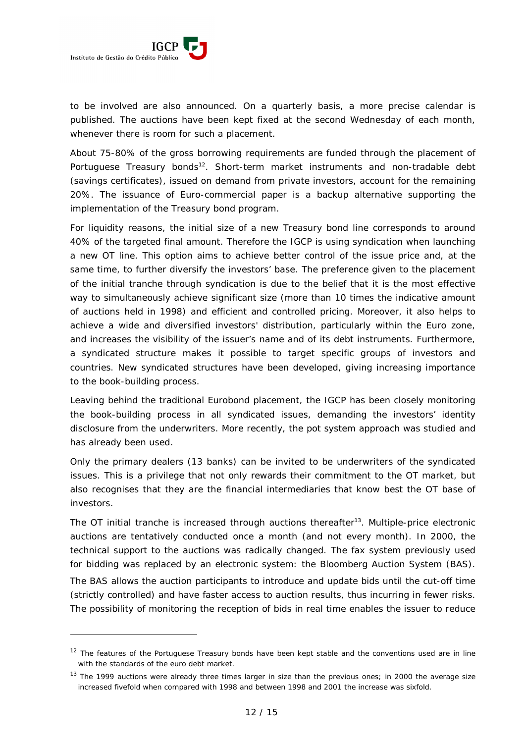

-

to be involved are also announced. On a quarterly basis, a more precise calendar is published. The auctions have been kept fixed at the second Wednesday of each month, whenever there is room for such a placement.

About 75-80% of the gross borrowing requirements are funded through the placement of Portuguese Treasury bonds<sup>12</sup>. Short-term market instruments and non-tradable debt (savings certificates), issued on demand from private investors, account for the remaining 20%. The issuance of Euro-commercial paper is a backup alternative supporting the implementation of the Treasury bond program.

For liquidity reasons, the initial size of a new Treasury bond line corresponds to around 40% of the targeted final amount. Therefore the IGCP is using syndication when launching a new OT line. This option aims to achieve better control of the issue price and, at the same time, to further diversify the investors' base. The preference given to the placement of the initial tranche through syndication is due to the belief that it is the most effective way to simultaneously achieve significant size (more than 10 times the indicative amount of auctions held in 1998) and efficient and controlled pricing. Moreover, it also helps to achieve a wide and diversified investors' distribution, particularly within the Euro zone, and increases the visibility of the issuer's name and of its debt instruments. Furthermore, a syndicated structure makes it possible to target specific groups of investors and countries. New syndicated structures have been developed, giving increasing importance to the book-building process.

Leaving behind the traditional Eurobond placement, the IGCP has been closely monitoring the book-building process in all syndicated issues, demanding the investors' identity disclosure from the underwriters. More recently, the pot system approach was studied and has already been used.

Only the primary dealers (13 banks) can be invited to be underwriters of the syndicated issues. This is a privilege that not only rewards their commitment to the OT market, but also recognises that they are the financial intermediaries that know best the OT base of investors.

The OT initial tranche is increased through auctions thereafter<sup>13</sup>. Multiple-price electronic auctions are tentatively conducted once a month (and not every month). In 2000, the technical support to the auctions was radically changed. The fax system previously used for bidding was replaced by an electronic system: the Bloomberg Auction System (BAS).

The BAS allows the auction participants to introduce and update bids until the cut-off time (strictly controlled) and have faster access to auction results, thus incurring in fewer risks. The possibility of monitoring the reception of bids in real time enables the issuer to reduce

<sup>&</sup>lt;sup>12</sup> The features of the Portuguese Treasury bonds have been kept stable and the conventions used are in line with the standards of the euro debt market.

<sup>&</sup>lt;sup>13</sup> The 1999 auctions were already three times larger in size than the previous ones; in 2000 the average size increased fivefold when compared with 1998 and between 1998 and 2001 the increase was sixfold.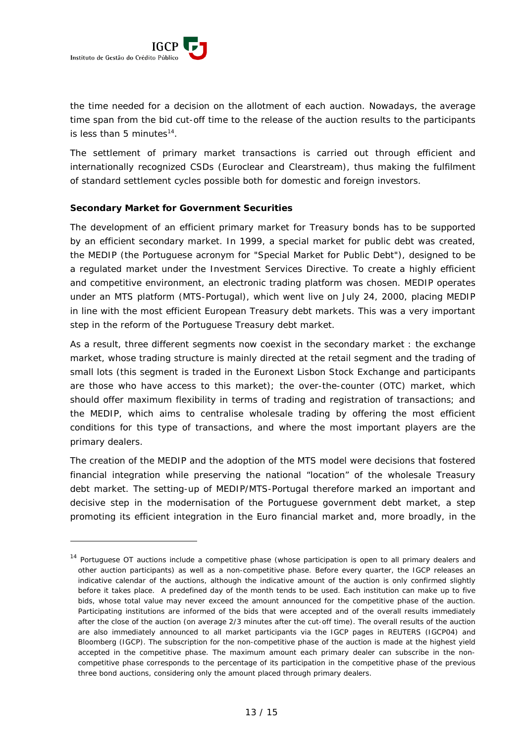

-

the time needed for a decision on the allotment of each auction. Nowadays, the average time span from the bid cut-off time to the release of the auction results to the participants is less than 5 minutes<sup>14</sup>.

The settlement of primary market transactions is carried out through efficient and internationally recognized CSDs (Euroclear and Clearstream), thus making the fulfilment of standard settlement cycles possible both for domestic and foreign investors.

#### *Secondary Market for Government Securities*

The development of an efficient primary market for Treasury bonds has to be supported by an efficient secondary market. In 1999, a special market for public debt was created, the MEDIP (the Portuguese acronym for "Special Market for Public Debt"), designed to be a regulated market under the Investment Services Directive. To create a highly efficient and competitive environment, an electronic trading platform was chosen. MEDIP operates under an MTS platform (MTS-Portugal), which went live on July 24, 2000, placing MEDIP in line with the most efficient European Treasury debt markets. This was a very important step in the reform of the Portuguese Treasury debt market.

As a result, three different segments now coexist in the secondary market : the exchange market, whose trading structure is mainly directed at the retail segment and the trading of small lots (this segment is traded in the Euronext Lisbon Stock Exchange and participants are those who have access to this market); the over-the-counter (OTC) market, which should offer maximum flexibility in terms of trading and registration of transactions; and the MEDIP, which aims to centralise wholesale trading by offering the most efficient conditions for this type of transactions, and where the most important players are the primary dealers.

The creation of the MEDIP and the adoption of the MTS model were decisions that fostered financial integration while preserving the national "location" of the wholesale Treasury debt market. The setting-up of MEDIP/MTS-Portugal therefore marked an important and decisive step in the modernisation of the Portuguese government debt market, a step promoting its efficient integration in the Euro financial market and, more broadly, in the

<sup>&</sup>lt;sup>14</sup> Portuguese OT auctions include a competitive phase (whose participation is open to all primary dealers and other auction participants) as well as a non-competitive phase. Before every quarter, the IGCP releases an indicative calendar of the auctions, although the indicative amount of the auction is only confirmed slightly before it takes place. A predefined day of the month tends to be used. Each institution can make up to five bids, whose total value may never exceed the amount announced for the competitive phase of the auction. Participating institutions are informed of the bids that were accepted and of the overall results immediately after the close of the auction (on average 2/3 minutes after the cut-off time). The overall results of the auction are also immediately announced to all market participants via the IGCP pages in REUTERS (IGCP04) and Bloomberg (IGCP). The subscription for the non-competitive phase of the auction is made at the highest yield accepted in the competitive phase. The maximum amount each primary dealer can subscribe in the noncompetitive phase corresponds to the percentage of its participation in the competitive phase of the previous three bond auctions, considering only the amount placed through primary dealers.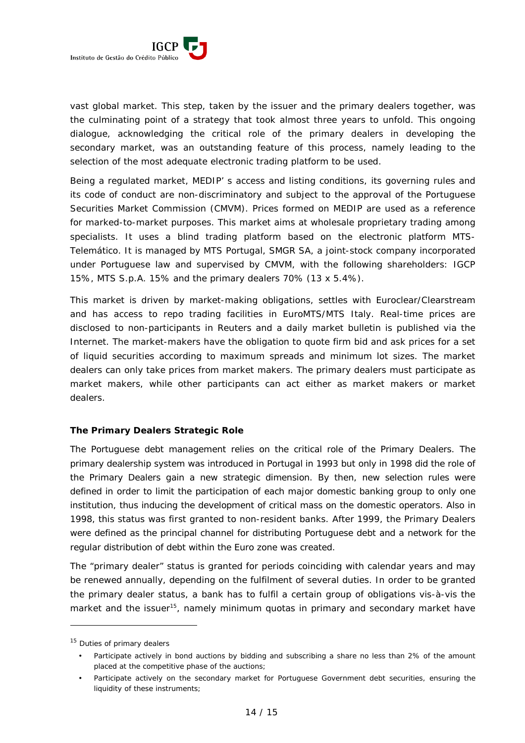

vast global market. This step, taken by the issuer and the primary dealers together, was the culminating point of a strategy that took almost three years to unfold. This ongoing dialogue, acknowledging the critical role of the primary dealers in developing the secondary market, was an outstanding feature of this process, namely leading to the selection of the most adequate electronic trading platform to be used.

Being a regulated market, MEDIP' s access and listing conditions, its governing rules and its code of conduct are non-discriminatory and subject to the approval of the Portuguese Securities Market Commission (CMVM). Prices formed on MEDIP are used as a reference for marked-to-market purposes. This market aims at wholesale proprietary trading among specialists. It uses a blind trading platform based on the electronic platform *MTS-Telemático*. It is managed by MTS Portugal, SMGR SA, a joint-stock company incorporated under Portuguese law and supervised by CMVM, with the following shareholders: IGCP 15%, MTS S.p.A. 15% and the primary dealers 70% (13 x 5.4%).

This market is driven by market-making obligations, settles with Euroclear/Clearstream and has access to repo trading facilities in EuroMTS/MTS Italy. Real-time prices are disclosed to non-participants in Reuters and a daily market bulletin is published via the Internet. The market-makers have the obligation to quote firm bid and ask prices for a set of liquid securities according to maximum spreads and minimum lot sizes. The market dealers can only take prices from market makers. The primary dealers must participate as market makers, while other participants can act either as market makers or market dealers.

## *The Primary Dealers Strategic Role*

The Portuguese debt management relies on the critical role of the Primary Dealers. The primary dealership system was introduced in Portugal in 1993 but only in 1998 did the role of the Primary Dealers gain a new strategic dimension. By then, new selection rules were defined in order to limit the participation of each major domestic banking group to only one institution, thus inducing the development of critical mass on the domestic operators. Also in 1998, this status was first granted to non-resident banks. After 1999, the Primary Dealers were defined as the principal channel for distributing Portuguese debt and a network for the regular distribution of debt within the Euro zone was created.

The "primary dealer" status is granted for periods coinciding with calendar years and may be renewed annually, depending on the fulfilment of several duties. In order to be granted the primary dealer status, a bank has to fulfil a certain group of obligations *vis-à-vis* the market and the issuer<sup>15</sup>, namely minimum quotas in primary and secondary market have

<sup>&</sup>lt;sup>15</sup> Duties of primary dealers

<sup>•</sup> Participate actively in bond auctions by bidding and subscribing a share no less than 2% of the amount placed at the competitive phase of the auctions;

<sup>•</sup> Participate actively on the secondary market for Portuguese Government debt securities, ensuring the liquidity of these instruments;